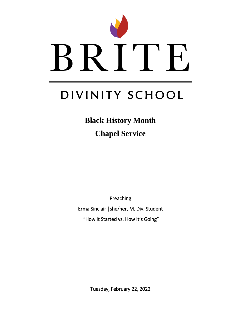

# DIVINITY SCHOOL

**Black History Month Chapel Service** 

Preaching Erma Sinclair |she/her, M. Div. Student "How It Started vs. How It's Going"

Tuesday, February 22, 2022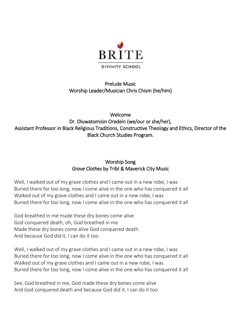

## Prelude Music Worship Leader/Musician Chris Chism (he/him)

## Welcome Dr. Oluwatomisin Oredein (we/our or she/her), Assistant Professor in Black Religious Traditions, Constructive Theology and Ethics, Director of the Black Church Studies Program.

## Worship Song *Grave Clothes* by Tribl & Maverick City Music

Well, I walked out of my grave clothes and I came out in a new robe, I was Buried there for too long, now I come alive in the one who has conquered it all Walked out of my grave clothes and I came out in a new robe, I was Buried there for too long, now I come alive in the one who has conquered it all

God breathed in me made these dry bones come alive God conquered death, oh, God breathed in me Made these dry bones come alive God conquered death And because God did it, I can do it too

Well, I walked out of my grave clothes and I came out in a new robe, I was Buried there for too long, now I come alive in the one who has conquered it all Walked out of my grave clothes and I came out in a new robe, I was Buried there for too long, now I come alive in the one who has conquered it all

See, God breathed in me, God made these dry bones come alive And God conquered death and because God did it, I can do it too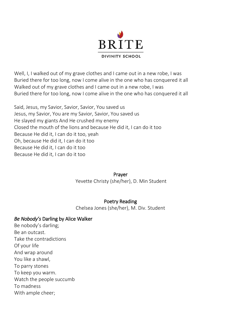

Well, I, I walked out of my grave clothes and I came out in a new robe, I was Buried there for too long, now I come alive in the one who has conquered it all Walked out of my grave clothes and I came out in a new robe, I was Buried there for too long, now I come alive in the one who has conquered it all

Said, Jesus, my Savior, Savior, Savior, You saved us Jesus, my Savior, You are my Savior, Savior, You saved us He slayed my giants And He crushed my enemy Closed the mouth of the lions and because He did it, I can do it too Because He did it, I can do it too, yeah Oh, because He did it, I can do it too Because He did it, I can do it too Because He did it, I can do it too

#### Prayer

Yevette Christy (she/her), D. Min Student

#### Poetry Reading

Chelsea Jones (she/her), M. Div. Student

#### *Be Nobody's* Darling by Alice Walker

Be nobody's darling; Be an outcast. Take the contradictions Of your life And wrap around You like a shawl, To parry stones To keep you warm. Watch the people succumb To madness With ample cheer;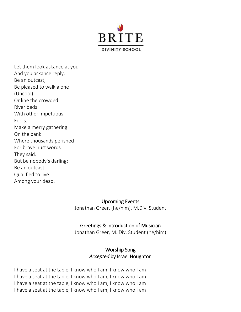

Let them look askance at you And you askance reply. Be an outcast; Be pleased to walk alone (Uncool) Or line the crowded River beds With other impetuous Fools. Make a merry gathering On the bank Where thousands perished For brave hurt words They said. But be nobody's darling; Be an outcast. Qualified to live Among your dead.

#### Upcoming Events

Jonathan Greer, (he/him), M.Div. Student

#### Greetings & Introduction of Musician

Jonathan Greer, M. Div. Student (he/him)

## Worship Song *Accepted* by Israel Houghton

I have a seat at the table, I know who I am, I know who I am I have a seat at the table, I know who I am, I know who I am I have a seat at the table, I know who I am, I know who I am I have a seat at the table, I know who I am, I know who I am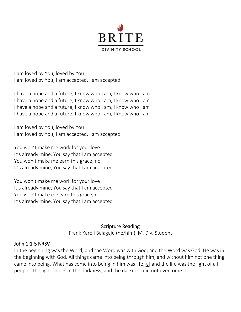

I am loved by You, loved by You I am loved by You, I am accepted, I am accepted

I have a hope and a future, I know who I am, I know who I am I have a hope and a future, I know who I am, I know who I am I have a hope and a future, I know who I am, I know who I am I have a hope and a future, I know who I am, I know who I am

I am loved by You, loved by You I am loved by You, I am accepted, I am accepted

You won't make me work for your love It's already mine, You say that I am accepted You won't make me earn this grace, no It's already mine, You say that I am accepted

You won't make me work for your love It's already mine, You say that I am accepted You won't make me earn this grace, no It's already mine, You say that I am accepted

#### Scripture Reading

Frank Karoli Balagaju (he/him), M. Div. Student

#### John 1:1-5 NRSV

In the beginning was the Word, and the Word was with God, and the Word was God. He was in the beginning with God. All things came into being through him, and without him not one thing came into being. What has come into being in him was life,[\[a\]](https://www.biblegateway.com/passage/?search=John%201%3A1-5&version=NRSV#fen-NRSV-26039a) and the life was the light of all people. The light shines in the darkness, and the darkness did not overcome it.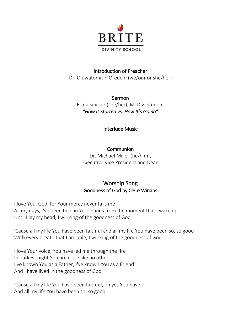

Introduction of Preacher Dr. Oluwatomisin Oredein (we/our or she/her)

Sermon Erma Sinclair (she/her), M. Div. Student *"How It Started vs. How It's Going"*

Interlude Music

### **Communion**

Dr. Michael Miller (he/him), Executive Vice President and Dean

# Worship Song Goodness of God by CeCe Winans

I love You, God, for Your mercy never fails me All my days, I've been held in Your hands from the moment that I wake up Until I lay my head, I will sing of the goodness of God

'Cause all my life You have been faithful and all my life You have been so, so good With every breath that I am able, I will sing of the goodness of God

I love Your voice, You have led me through the fire In darkest night You are close like no other I've known You as a Father, I've known You as a Friend And I have lived in the goodness of God

'Cause all my life You have been faithful, oh yes You have And all my life You have been so, so good